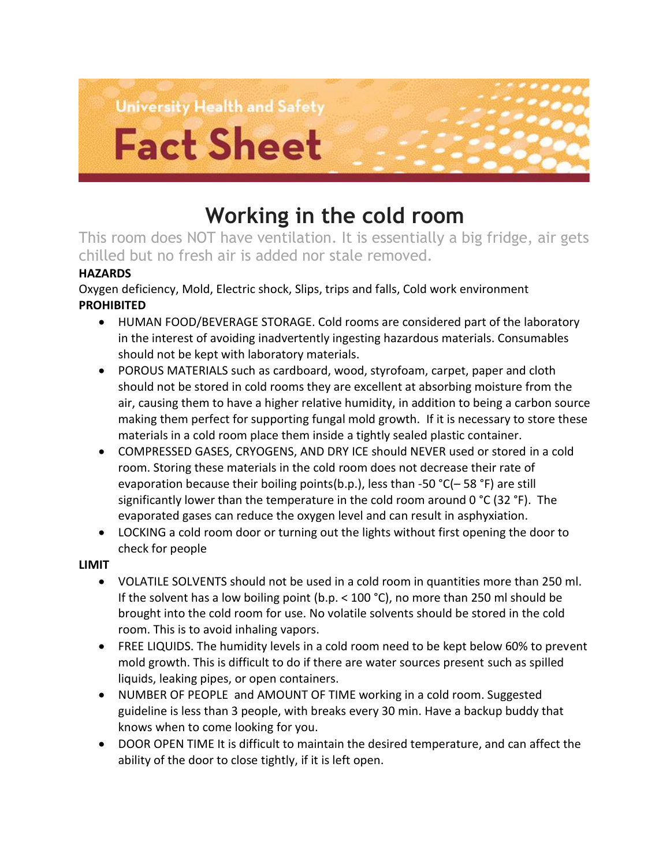

# **Working in the cold room**

This room does NOT have ventilation. It is essentially a big fridge, air gets chilled but no fresh air is added nor stale removed.

# **HAZARDS**

Oxygen deficiency, Mold, Electric shock, Slips, trips and falls, Cold work environment **PROHIBITED** 

- HUMAN FOOD/BEVERAGE STORAGE. Cold rooms are considered part of the laboratory in the interest of avoiding inadvertently ingesting hazardous materials. Consumables should not be kept with laboratory materials.
- POROUS MATERIALS such as cardboard, wood, styrofoam, carpet, paper and cloth should not be stored in cold rooms they are excellent at absorbing moisture from the air, causing them to have a higher relative humidity, in addition to being a carbon source making them perfect for supporting fungal mold growth. If it is necessary to store these materials in a cold room place them inside a tightly sealed plastic container.
- COMPRESSED GASES, CRYOGENS, AND DRY ICE should NEVER used or stored in a cold room. Storing these materials in the cold room does not decrease their rate of evaporation because their boiling points(b.p.), less than -50 °C(– 58 °F) are still significantly lower than the temperature in the cold room around 0 °C (32 °F). The evaporated gases can reduce the oxygen level and can result in asphyxiation.
- LOCKING a cold room door or turning out the lights without first opening the door to check for people

## **LIMIT**

- VOLATILE SOLVENTS should not be used in a cold room in quantities more than 250 ml. If the solvent has a low boiling point (b.p.  $<$  100 °C), no more than 250 ml should be brought into the cold room for use. No volatile solvents should be stored in the cold room. This is to avoid inhaling vapors.
- FREE LIQUIDS. The humidity levels in a cold room need to be kept below 60% to prevent mold growth. This is difficult to do if there are water sources present such as spilled liquids, leaking pipes, or open containers.
- NUMBER OF PEOPLE and AMOUNT OF TIME working in a cold room. Suggested guideline is less than 3 people, with breaks every 30 min. Have a backup buddy that knows when to come looking for you.
- DOOR OPEN TIME It is difficult to maintain the desired temperature, and can affect the ability of the door to close tightly, if it is left open.